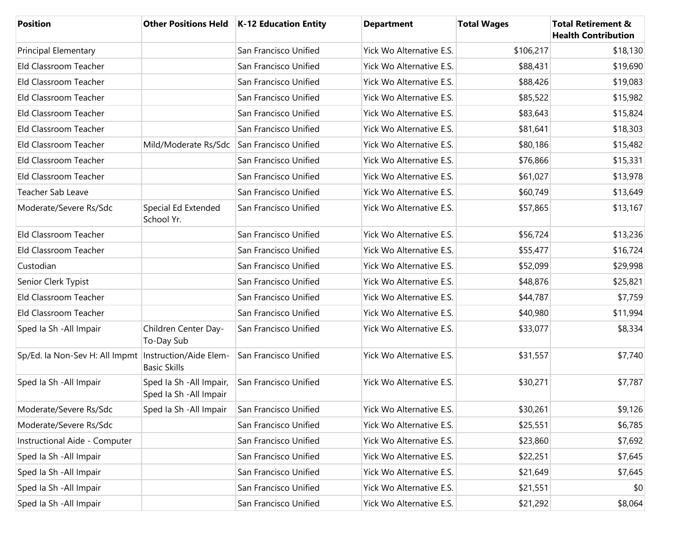| <b>Position</b>                                         |                                                     | Other Positions Held   K-12 Education Entity | <b>Department</b>               | <b>Total Wages</b> | <b>Total Retirement &amp;</b><br><b>Health Contribution</b> |
|---------------------------------------------------------|-----------------------------------------------------|----------------------------------------------|---------------------------------|--------------------|-------------------------------------------------------------|
| <b>Principal Elementary</b>                             |                                                     | San Francisco Unified                        | Yick Wo Alternative E.S.        | \$106,217          | \$18,130                                                    |
| Eld Classroom Teacher                                   |                                                     | San Francisco Unified                        | Yick Wo Alternative E.S.        | \$88,431           | \$19,690                                                    |
| Eld Classroom Teacher                                   |                                                     | San Francisco Unified                        | Yick Wo Alternative E.S.        | \$88,426           | \$19,083                                                    |
| Eld Classroom Teacher                                   |                                                     | San Francisco Unified                        | Yick Wo Alternative E.S.        | \$85,522           | \$15,982                                                    |
| Eld Classroom Teacher                                   |                                                     | San Francisco Unified                        | Yick Wo Alternative E.S.        | \$83,643           | \$15,824                                                    |
| Eld Classroom Teacher                                   |                                                     | San Francisco Unified                        | <b>Yick Wo Alternative E.S.</b> | \$81,641           | \$18,303                                                    |
| Eld Classroom Teacher                                   | Mild/Moderate Rs/Sdc                                | San Francisco Unified                        | Yick Wo Alternative E.S.        | \$80,186           | \$15,482                                                    |
| Eld Classroom Teacher                                   |                                                     | San Francisco Unified                        | Yick Wo Alternative E.S.        | \$76,866           | \$15,331                                                    |
| Eld Classroom Teacher                                   |                                                     | San Francisco Unified                        | Yick Wo Alternative E.S.        | \$61,027           | \$13,978                                                    |
| Teacher Sab Leave                                       |                                                     | San Francisco Unified                        | Yick Wo Alternative E.S.        | \$60,749           | \$13,649                                                    |
| Moderate/Severe Rs/Sdc                                  | Special Ed Extended<br>School Yr.                   | San Francisco Unified                        | Yick Wo Alternative E.S.        | \$57,865           | \$13,167                                                    |
| Eld Classroom Teacher                                   |                                                     | San Francisco Unified                        | Yick Wo Alternative E.S.        | \$56,724           | \$13,236                                                    |
| Eld Classroom Teacher                                   |                                                     | San Francisco Unified                        | Yick Wo Alternative E.S.        | \$55,477           | \$16,724                                                    |
| Custodian                                               |                                                     | San Francisco Unified                        | Yick Wo Alternative E.S.        | \$52,099           | \$29,998                                                    |
| Senior Clerk Typist                                     |                                                     | San Francisco Unified                        | Yick Wo Alternative E.S.        | \$48,876           | \$25,821                                                    |
| Eld Classroom Teacher                                   |                                                     | San Francisco Unified                        | Yick Wo Alternative E.S.        | \$44,787           | \$7,759                                                     |
| Eld Classroom Teacher                                   |                                                     | San Francisco Unified                        | Yick Wo Alternative E.S.        | \$40,980           | \$11,994                                                    |
| Sped Ia Sh - All Impair                                 | Children Center Day-<br>To-Day Sub                  | San Francisco Unified                        | Yick Wo Alternative E.S.        | \$33,077           | \$8,334                                                     |
| Sp/Ed. Ia Non-Sev H: All Impmt   Instruction/Aide Elem- | <b>Basic Skills</b>                                 | San Francisco Unified                        | Yick Wo Alternative E.S.        | \$31,557           | \$7,740                                                     |
| Sped la Sh - All Impair                                 | Sped Ia Sh - All Impair,<br>Sped Ia Sh - All Impair | San Francisco Unified                        | Yick Wo Alternative E.S.        | \$30,271           | \$7,787                                                     |
| Moderate/Severe Rs/Sdc                                  | Sped la Sh - All Impair                             | San Francisco Unified                        | Yick Wo Alternative E.S.        | \$30,261           | \$9,126                                                     |
| Moderate/Severe Rs/Sdc                                  |                                                     | San Francisco Unified                        | Yick Wo Alternative E.S.        | \$25,551           | \$6,785                                                     |
| Instructional Aide - Computer                           |                                                     | San Francisco Unified                        | Yick Wo Alternative E.S.        | \$23,860           | \$7,692                                                     |
| Sped la Sh - All Impair                                 |                                                     | San Francisco Unified                        | Yick Wo Alternative E.S.        | \$22,251           | \$7,645                                                     |
| Sped Ia Sh - All Impair                                 |                                                     | San Francisco Unified                        | Yick Wo Alternative E.S.        | \$21,649           | \$7,645                                                     |
| Sped Ia Sh - All Impair                                 |                                                     | San Francisco Unified                        | Yick Wo Alternative E.S.        | \$21,551           | \$0                                                         |
| Sped Ia Sh - All Impair                                 |                                                     | San Francisco Unified                        | Yick Wo Alternative E.S.        | \$21,292           | \$8,064                                                     |